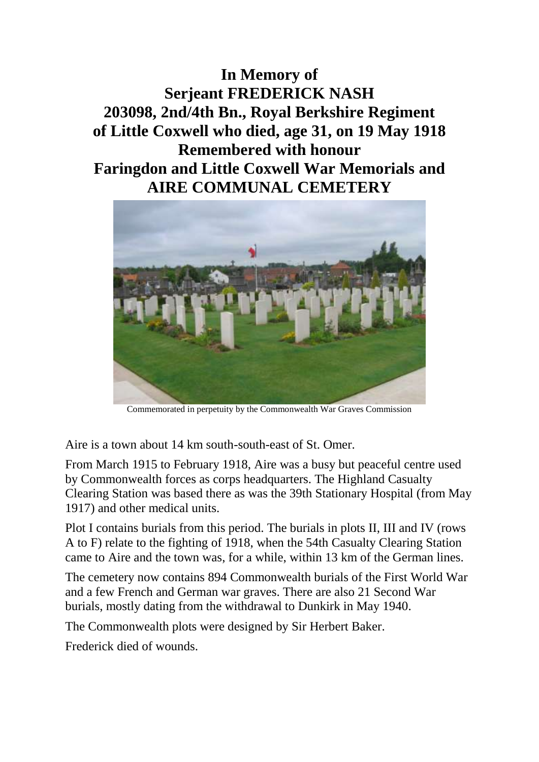**In Memory of Serjeant FREDERICK NASH 203098, 2nd/4th Bn., Royal Berkshire Regiment of Little Coxwell who died, age 31, on 19 May 1918 Remembered with honour Faringdon and Little Coxwell War Memorials and AIRE COMMUNAL CEMETERY**



Commemorated in perpetuity by the Commonwealth War Graves Commission

Aire is a town about 14 km south-south-east of St. Omer.

From March 1915 to February 1918, Aire was a busy but peaceful centre used by Commonwealth forces as corps headquarters. The Highland Casualty Clearing Station was based there as was the 39th Stationary Hospital (from May 1917) and other medical units.

Plot I contains burials from this period. The burials in plots II, III and IV (rows A to F) relate to the fighting of 1918, when the 54th Casualty Clearing Station came to Aire and the town was, for a while, within 13 km of the German lines.

The cemetery now contains 894 Commonwealth burials of the First World War and a few French and German war graves. There are also 21 Second War burials, mostly dating from the withdrawal to Dunkirk in May 1940.

The Commonwealth plots were designed by Sir Herbert Baker.

Frederick died of wounds.